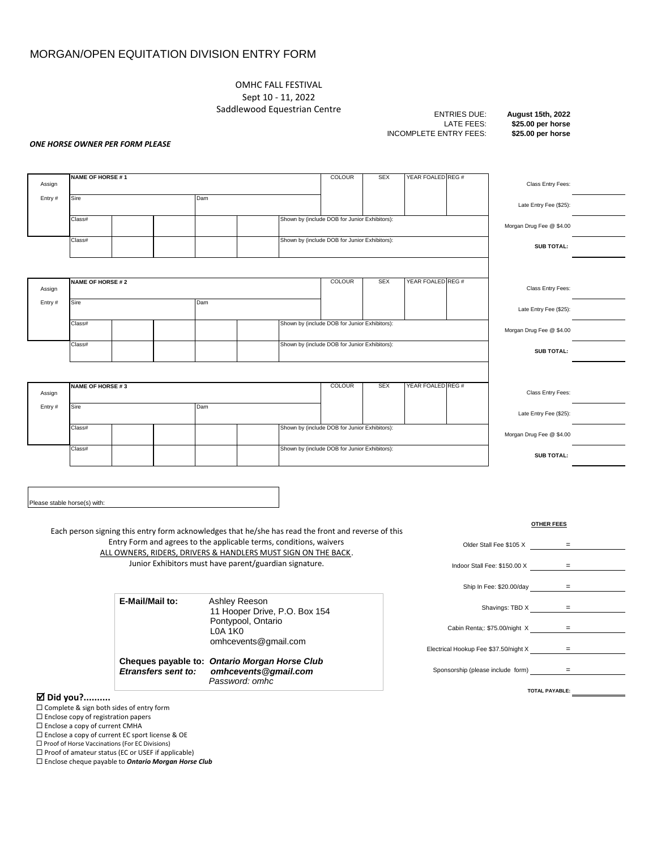# MORGAN/OPEN EQUITATION DIVISION ENTRY FORM

OMHC FALL FESTIVAL Sept 10 - 11, 2022 Saddlewood Equestrian Centre

**INCOMPLETE ENTRY FEES:** 

ENTRIES DUE: **August 15th, 2022** LATE FEES: **\$25.00 per horse**

#### *ONE HORSE OWNER PER FORM PLEASE*

| Assign | <b>NAME OF HORSE #1</b> |  | <b>COLOUR</b> | <b>SEX</b> | YEAR FOALED REG #                             | Class Entry Fees: |                   |                          |  |
|--------|-------------------------|--|---------------|------------|-----------------------------------------------|-------------------|-------------------|--------------------------|--|
| Entry# | Sire                    |  | Dam           |            |                                               |                   |                   | Late Entry Fee (\$25):   |  |
|        | Class#                  |  |               |            | Shown by (include DOB for Junior Exhibitors): |                   |                   | Morgan Drug Fee @ \$4.00 |  |
|        | Class#                  |  |               |            | Shown by (include DOB for Junior Exhibitors): |                   |                   | <b>SUB TOTAL:</b>        |  |
|        |                         |  |               |            |                                               |                   |                   |                          |  |
| Assign | <b>NAME OF HORSE #2</b> |  |               |            | <b>COLOUR</b>                                 | <b>SEX</b>        | YEAR FOALED REG # | Class Entry Fees:        |  |
| Entry# | Sire                    |  | Dam           |            |                                               |                   |                   | Late Entry Fee (\$25):   |  |
|        | Class#                  |  |               |            | Shown by (include DOB for Junior Exhibitors): |                   |                   | Morgan Drug Fee @ \$4.00 |  |
|        | Class#                  |  |               |            | Shown by (include DOB for Junior Exhibitors): |                   |                   | <b>SUB TOTAL:</b>        |  |
|        |                         |  |               |            |                                               |                   |                   |                          |  |
| Assign | <b>NAME OF HORSE #3</b> |  | <b>COLOUR</b> | <b>SEX</b> | YEAR FOALED REG #                             | Class Entry Fees: |                   |                          |  |
| Entry# | Sire                    |  | Dam           |            |                                               |                   |                   | Late Entry Fee (\$25):   |  |
|        | Class#                  |  |               |            | Shown by (include DOB for Junior Exhibitors): |                   |                   | Morgan Drug Fee @ \$4.00 |  |
|        | Class#                  |  |               |            | Shown by (include DOB for Junior Exhibitors): |                   |                   | <b>SUB TOTAL:</b>        |  |
|        |                         |  |               |            |                                               |                   |                   |                          |  |

Please stable horse(s) with:

Each person signing this entry form acknowledges that he/she has read the front and reverse of this Entry Form and agrees to the applicable terms, conditions, waivers ALL OWNERS, RIDERS, DRIVERS & HANDLERS MUST SIGN ON THE BACK. Junior Exhibitors must have parent/guardian signature.

| E-Mail/Mail to: | Ashley Reeson<br>11 Hooper Drive, P.O. Box 154<br>Pontypool, Ontario<br>L0A 1K0<br>omhcevents@gmail.com |
|-----------------|---------------------------------------------------------------------------------------------------------|
|                 | Cheques payable to: Ontario Morgan Horse Club                                                           |

*Etransfers sent to: omhcevents@gmail.com Password: omhc*

|  |  | ⊠ Did you? |
|--|--|------------|
|--|--|------------|

- □ Complete & sign both sides of entry form
- $\square$  Enclose copy of registration papers
- $\square$  Enclose a copy of current CMHA
- Enclose a copy of current EC sport license & OE
- □ Proof of Horse Vaccinations (For EC Divisions)
- $\square$  Proof of amateur status (EC or USEF if applicable)

Enclose cheque payable to *Ontario Morgan Horse Club*

|                                       | <b>OTHER FEES</b>     |
|---------------------------------------|-----------------------|
| Older Stall Fee \$105 X               |                       |
| Indoor Stall Fee: \$150.00 X          | =                     |
| Ship In Fee: \$20.00/day              | $=$                   |
|                                       |                       |
| Shavings: TBD X                       | =                     |
| Cabin Renta;: \$75.00/night X         | =                     |
| Electrical Hookup Fee \$37.50/night X | =                     |
| Sponsorship (please include form)     | $=$                   |
|                                       | <b>TOTAL PAYABLE:</b> |